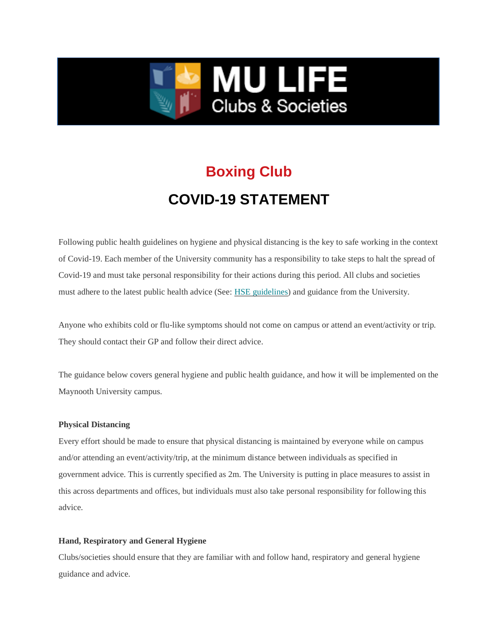

# **Boxing Club COVID-19 STATEMENT**

Following public health guidelines on hygiene and physical distancing is the key to safe working in the context of Covid-19. Each member of the University community has a responsibility to take steps to halt the spread of Covid-19 and must take personal responsibility for their actions during this period. All clubs and societies must adhere to the latest public health advice (See: [HSE guidelines\)](https://www2.hse.ie/coronavirus/) and guidance from the University.

Anyone who exhibits cold or flu-like symptoms should not come on campus or attend an event/activity or trip. They should contact their GP and follow their direct advice.

The guidance below covers general hygiene and public health guidance, and how it will be implemented on the Maynooth University campus.

## **Physical Distancing**

Every effort should be made to ensure that physical distancing is maintained by everyone while on campus and/or attending an event/activity/trip, at the minimum distance between individuals as specified in government advice. This is currently specified as 2m. The University is putting in place measures to assist in this across departments and offices, but individuals must also take personal responsibility for following this advice.

#### **Hand, Respiratory and General Hygiene**

Clubs/societies should ensure that they are familiar with and follow hand, respiratory and general hygiene guidance and advice.